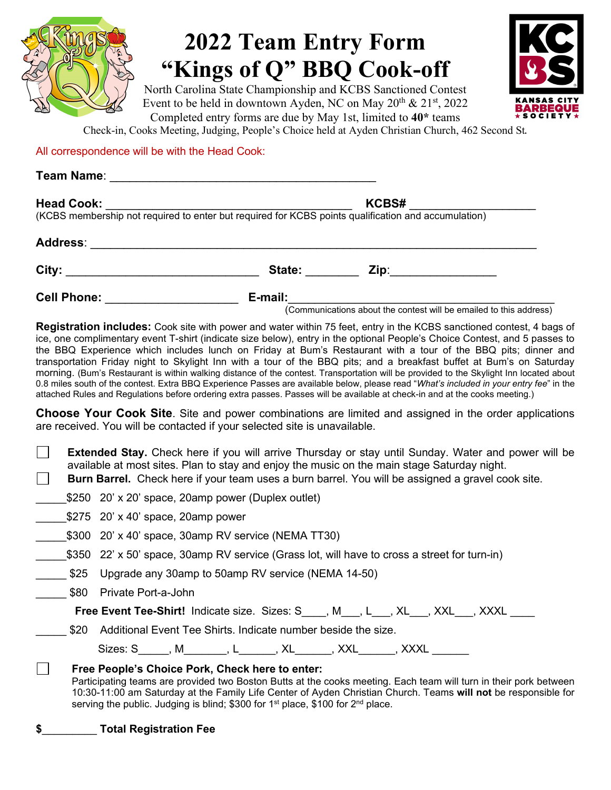

# **2022 Team Entry Form "Kings of Q" BBQ Cook-off**

North Carolina State Championship and KCBS Sanctioned Contest Event to be held in downtown Ayden, NC on May 20<sup>th</sup> & 21<sup>st</sup>, 2022 Completed entry forms are due by May 1st, limited to **40\*** teams



Check-in, Cooks Meeting, Judging, People's Choice held at Ayden Christian Church, 462 Second St.

All correspondence will be with the Head Cook:

| <b>Head Cook:</b><br>KCBS# |                                 |  |  |
|----------------------------|---------------------------------|--|--|
|                            |                                 |  |  |
| <b>Address:</b>            |                                 |  |  |
|                            | State:<br>Zip:_________________ |  |  |
| <b>Cell Phone:</b>         | E-mail:                         |  |  |

(Communications about the contest will be emailed to this address)

**Registration includes:** Cook site with power and water within 75 feet, entry in the KCBS sanctioned contest, 4 bags of ice, one complimentary event T-shirt (indicate size below), entry in the optional People's Choice Contest, and 5 passes to the BBQ Experience which includes lunch on Friday at Bum's Restaurant with a tour of the BBQ pits; dinner and transportation Friday night to Skylight Inn with a tour of the BBQ pits; and a breakfast buffet at Bum's on Saturday morning. (Bum's Restaurant is within walking distance of the contest. Transportation will be provided to the Skylight Inn located about 0.8 miles south of the contest. Extra BBQ Experience Passes are available below, please read "*What's included in your entry fee*" in the attached Rules and Regulations before ordering extra passes. Passes will be available at check-in and at the cooks meeting.)

**Choose Your Cook Site**. Site and power combinations are limited and assigned in the order applications are received. You will be contacted if your selected site is unavailable.

| <b>Extended Stay.</b> Check here if you will arrive Thursday or stay until Sunday. Water and power will be<br>available at most sites. Plan to stay and enjoy the music on the main stage Saturday night.<br><b>Burn Barrel.</b> Check here if your team uses a burn barrel. You will be assigned a gravel cook site. |                                                                                                                                                                                                                                                                                                                                                                                            |  |
|-----------------------------------------------------------------------------------------------------------------------------------------------------------------------------------------------------------------------------------------------------------------------------------------------------------------------|--------------------------------------------------------------------------------------------------------------------------------------------------------------------------------------------------------------------------------------------------------------------------------------------------------------------------------------------------------------------------------------------|--|
|                                                                                                                                                                                                                                                                                                                       | \$250 20' x 20' space, 20amp power (Duplex outlet)                                                                                                                                                                                                                                                                                                                                         |  |
|                                                                                                                                                                                                                                                                                                                       | \$275 20' x 40' space, 20amp power                                                                                                                                                                                                                                                                                                                                                         |  |
|                                                                                                                                                                                                                                                                                                                       | \$300 20' x 40' space, 30amp RV service (NEMA TT30)                                                                                                                                                                                                                                                                                                                                        |  |
|                                                                                                                                                                                                                                                                                                                       | \$350 22' x 50' space, 30amp RV service (Grass lot, will have to cross a street for turn-in)                                                                                                                                                                                                                                                                                               |  |
|                                                                                                                                                                                                                                                                                                                       | \$25 Upgrade any 30amp to 50amp RV service (NEMA 14-50)                                                                                                                                                                                                                                                                                                                                    |  |
|                                                                                                                                                                                                                                                                                                                       | \$80 Private Port-a-John                                                                                                                                                                                                                                                                                                                                                                   |  |
|                                                                                                                                                                                                                                                                                                                       | <b>Free Event Tee-Shirt!</b> Indicate size. Sizes: S____, M___, L___, XL___, XXL___, XXXL ___                                                                                                                                                                                                                                                                                              |  |
|                                                                                                                                                                                                                                                                                                                       | \$20 Additional Event Tee Shirts. Indicate number beside the size.                                                                                                                                                                                                                                                                                                                         |  |
|                                                                                                                                                                                                                                                                                                                       | Sizes: S_____, M_______, L______, XL______, XXL______, XXXL_____                                                                                                                                                                                                                                                                                                                           |  |
|                                                                                                                                                                                                                                                                                                                       | Free People's Choice Pork, Check here to enter:<br>Participating teams are provided two Boston Butts at the cooks meeting. Each team will turn in their pork between<br>10:30-11:00 am Saturday at the Family Life Center of Ayden Christian Church. Teams will not be responsible for<br>serving the public. Judging is blind; \$300 for 1 <sup>st</sup> place, \$100 for $2^{nd}$ place. |  |

**\$**\_\_\_\_\_\_\_\_\_ **Total Registration Fee**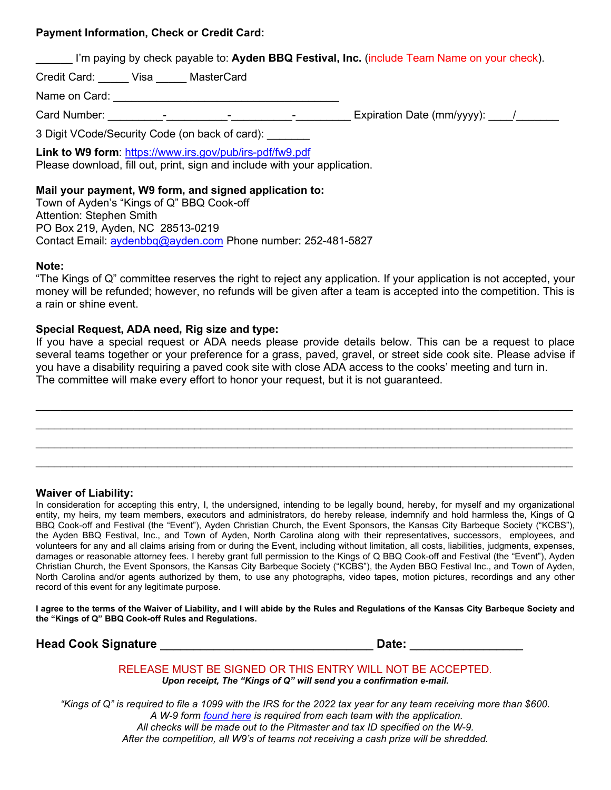#### **Payment Information, Check or Credit Card:**

I'm paying by check payable to: **Ayden BBQ Festival, Inc.** (include Team Name on your check).

Credit Card: Visa MasterCard

Name on Card: \_\_\_\_\_\_\_\_\_\_\_\_\_\_\_\_\_\_\_\_\_\_\_\_\_\_\_\_\_\_\_\_\_\_\_\_\_

Card Number: \_\_\_\_\_\_\_\_\_-\_\_\_\_\_\_\_\_\_\_-\_\_\_\_\_\_\_\_\_\_-\_\_\_\_\_\_\_\_\_ Expiration Date (mm/yyyy): \_\_\_\_/\_\_\_\_\_\_\_

3 Digit VCode/Security Code (on back of card):

**Link to W9 form**:<https://www.irs.gov/pub/irs-pdf/fw9.pdf>

Please download, fill out, print, sign and include with your application.

#### **Mail your payment, W9 form, and signed application to:**

Town of Ayden's "Kings of Q" BBQ Cook-off Attention: Stephen Smith PO Box 219, Ayden, NC 28513-0219 Contact Email: [aydenbbq@ayden.com](mailto:aydenbbq@ayden.com) Phone number: 252-481-5827

#### **Note:**

"The Kings of Q" committee reserves the right to reject any application. If your application is not accepted, your money will be refunded; however, no refunds will be given after a team is accepted into the competition. This is a rain or shine event.

#### **Special Request, ADA need, Rig size and type:**

If you have a special request or ADA needs please provide details below. This can be a request to place several teams together or your preference for a grass, paved, gravel, or street side cook site. Please advise if you have a disability requiring a paved cook site with close ADA access to the cooks' meeting and turn in. The committee will make every effort to honor your request, but it is not guaranteed.

 $\_$  ,  $\_$  ,  $\_$  ,  $\_$  ,  $\_$  ,  $\_$  ,  $\_$  ,  $\_$  ,  $\_$  ,  $\_$  ,  $\_$  ,  $\_$  ,  $\_$  ,  $\_$  ,  $\_$  ,  $\_$  ,  $\_$  ,  $\_$  ,  $\_$  ,  $\_$  ,  $\_$  ,  $\_$  ,  $\_$  ,  $\_$  ,  $\_$  ,  $\_$  ,  $\_$  ,  $\_$  ,  $\_$  ,  $\_$  ,  $\_$  ,  $\_$  ,  $\_$  ,  $\_$  ,  $\_$  ,  $\_$  ,  $\_$  ,  $\_$  , and the set of the set of the set of the set of the set of the set of the set of the set of the set of the set of the set of the set of the set of the set of the set of the set of the set of the set of the set of th  $\_$  ,  $\_$  ,  $\_$  ,  $\_$  ,  $\_$  ,  $\_$  ,  $\_$  ,  $\_$  ,  $\_$  ,  $\_$  ,  $\_$  ,  $\_$  ,  $\_$  ,  $\_$  ,  $\_$  ,  $\_$  ,  $\_$  ,  $\_$  ,  $\_$  ,  $\_$  ,  $\_$  ,  $\_$  ,  $\_$  ,  $\_$  ,  $\_$  ,  $\_$  ,  $\_$  ,  $\_$  ,  $\_$  ,  $\_$  ,  $\_$  ,  $\_$  ,  $\_$  ,  $\_$  ,  $\_$  ,  $\_$  ,  $\_$  ,  $\_$  , and the set of the set of the set of the set of the set of the set of the set of the set of the set of the set of the set of the set of the set of the set of the set of the set of the set of the set of the set of th

#### **Waiver of Liability:**

In consideration for accepting this entry, I, the undersigned, intending to be legally bound, hereby, for myself and my organizational entity, my heirs, my team members, executors and administrators, do hereby release, indemnify and hold harmless the, Kings of Q BBQ Cook-off and Festival (the "Event"), Ayden Christian Church, the Event Sponsors, the Kansas City Barbeque Society ("KCBS"), the Ayden BBQ Festival, Inc., and Town of Ayden, North Carolina along with their representatives, successors, employees, and volunteers for any and all claims arising from or during the Event, including without limitation, all costs, liabilities, judgments, expenses, damages or reasonable attorney fees. I hereby grant full permission to the Kings of Q BBQ Cook-off and Festival (the "Event"), Ayden Christian Church, the Event Sponsors, the Kansas City Barbeque Society ("KCBS"), the Ayden BBQ Festival Inc., and Town of Ayden, North Carolina and/or agents authorized by them, to use any photographs, video tapes, motion pictures, recordings and any other record of this event for any legitimate purpose.

**I agree to the terms of the Waiver of Liability, and I will abide by the Rules and Regulations of the Kansas City Barbeque Society and the "Kings of Q" BBQ Cook-off Rules and Regulations.** 

**Head Cook Signature** \_\_\_\_\_\_\_\_\_\_\_\_\_\_\_\_\_\_\_\_\_\_\_\_\_\_\_\_\_\_\_\_ **Date:** \_\_\_\_\_\_\_\_\_\_\_\_\_\_\_\_\_

RELEASE MUST BE SIGNED OR THIS ENTRY WILL NOT BE ACCEPTED.

*Upon receipt, The "Kings of Q" will send you a confirmation e-mail.*

*"Kings of Q" is required to file a 1099 with the IRS for the 2022 tax year for any team receiving more than \$600. A W-9 form [found here](https://www.irs.gov/pub/irs-pdf/fw9.pdf) is required from each team with the application. All checks will be made out to the Pitmaster and tax ID specified on the W-9. After the competition, all W9's of teams not receiving a cash prize will be shredded.*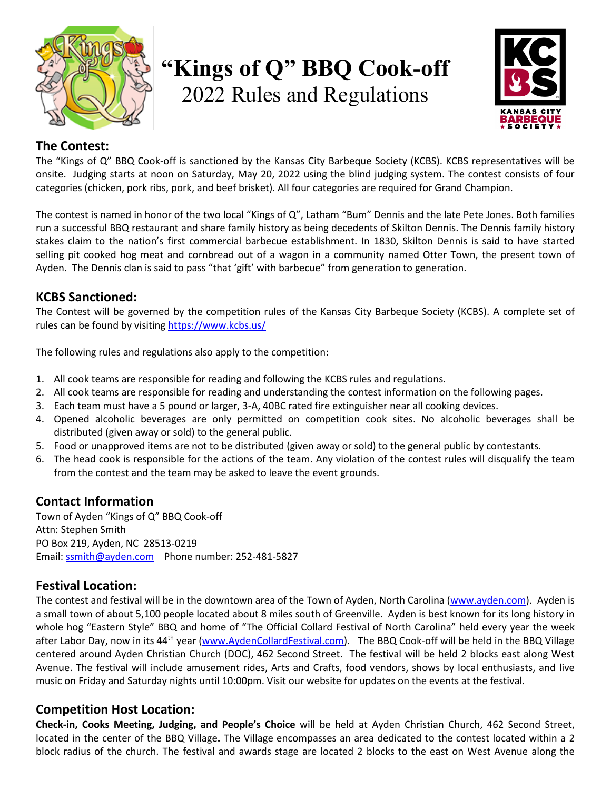

# **"Kings of Q" BBQ Cook-off** 2022 Rules and Regulations



# **The Contest:**

The "Kings of Q" BBQ Cook-off is sanctioned by the Kansas City Barbeque Society (KCBS). KCBS representatives will be onsite. Judging starts at noon on Saturday, May 20, 2022 using the blind judging system. The contest consists of four categories (chicken, pork ribs, pork, and beef brisket). All four categories are required for Grand Champion.

The contest is named in honor of the two local "Kings of Q", Latham "Bum" Dennis and the late Pete Jones. Both families run a successful BBQ restaurant and share family history as being decedents of Skilton Dennis. The Dennis family history stakes claim to the nation's first commercial barbecue establishment. In 1830, Skilton Dennis is said to have started selling pit cooked hog meat and cornbread out of a wagon in a community named Otter Town, the present town of Ayden. The Dennis clan is said to pass "that 'gift' with barbecue" from generation to generation.

## **KCBS Sanctioned:**

The Contest will be governed by the competition rules of the Kansas City Barbeque Society (KCBS). A complete set of rules can be found by visiting<https://www.kcbs.us/>

The following rules and regulations also apply to the competition:

- 1. All cook teams are responsible for reading and following the KCBS rules and regulations.
- 2. All cook teams are responsible for reading and understanding the contest information on the following pages.
- 3. Each team must have a 5 pound or larger, 3-A, 40BC rated fire extinguisher near all cooking devices.
- 4. Opened alcoholic beverages are only permitted on competition cook sites. No alcoholic beverages shall be distributed (given away or sold) to the general public.
- 5. Food or unapproved items are not to be distributed (given away or sold) to the general public by contestants.
- 6. The head cook is responsible for the actions of the team. Any violation of the contest rules will disqualify the team from the contest and the team may be asked to leave the event grounds.

# **Contact Information**

Town of Ayden "Kings of Q" BBQ Cook-off Attn: Stephen Smith PO Box 219, Ayden, NC 28513-0219 Email: [ssmith@ayden.com](mailto:ssmith@ayden.com) Phone number: 252-481-5827

# **Festival Location:**

The contest and festival will be in the downtown area of the Town of Ayden, North Carolina [\(www.ayden.com\)](http://www.ayden.com/). Ayden is a small town of about 5,100 people located about 8 miles south of Greenville. Ayden is best known for its long history in whole hog "Eastern Style" BBQ and home of "The Official Collard Festival of North Carolina" held every year the week after Labor Day, now in its 44<sup>th</sup> year [\(www.AydenCollardFestival.com\)](http://www.aydencollardfestival.com/). The BBQ Cook-off will be held in the BBQ Village centered around Ayden Christian Church (DOC), 462 Second Street. The festival will be held 2 blocks east along West Avenue. The festival will include amusement rides, Arts and Crafts, food vendors, shows by local enthusiasts, and live music on Friday and Saturday nights until 10:00pm. Visit our website for updates on the events at the festival.

## **Competition Host Location:**

**Check-in, Cooks Meeting, Judging, and People's Choice** will be held at Ayden Christian Church, 462 Second Street, located in the center of the BBQ Village**.** The Village encompasses an area dedicated to the contest located within a 2 block radius of the church. The festival and awards stage are located 2 blocks to the east on West Avenue along the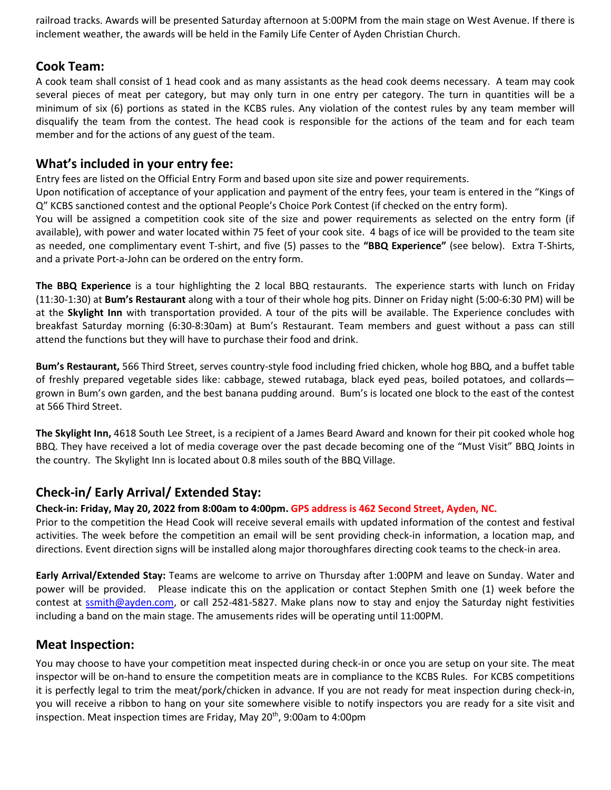railroad tracks. Awards will be presented Saturday afternoon at 5:00PM from the main stage on West Avenue. If there is inclement weather, the awards will be held in the Family Life Center of Ayden Christian Church.

## **Cook Team:**

A cook team shall consist of 1 head cook and as many assistants as the head cook deems necessary. A team may cook several pieces of meat per category, but may only turn in one entry per category. The turn in quantities will be a minimum of six (6) portions as stated in the KCBS rules. Any violation of the contest rules by any team member will disqualify the team from the contest. The head cook is responsible for the actions of the team and for each team member and for the actions of any guest of the team.

## **What's included in your entry fee:**

Entry fees are listed on the Official Entry Form and based upon site size and power requirements.

Upon notification of acceptance of your application and payment of the entry fees, your team is entered in the "Kings of Q" KCBS sanctioned contest and the optional People's Choice Pork Contest (if checked on the entry form).

You will be assigned a competition cook site of the size and power requirements as selected on the entry form (if available), with power and water located within 75 feet of your cook site. 4 bags of ice will be provided to the team site as needed, one complimentary event T-shirt, and five (5) passes to the **"BBQ Experience"** (see below). Extra T-Shirts, and a private Port-a-John can be ordered on the entry form.

**The BBQ Experience** is a tour highlighting the 2 local BBQ restaurants. The experience starts with lunch on Friday (11:30-1:30) at **Bum's Restaurant** along with a tour of their whole hog pits. Dinner on Friday night (5:00-6:30 PM) will be at the **Skylight Inn** with transportation provided. A tour of the pits will be available. The Experience concludes with breakfast Saturday morning (6:30-8:30am) at Bum's Restaurant. Team members and guest without a pass can still attend the functions but they will have to purchase their food and drink.

**Bum's Restaurant,** 566 Third Street, serves country-style food including fried chicken, whole hog BBQ, and a buffet table of freshly prepared vegetable sides like: cabbage, stewed rutabaga, black eyed peas, boiled potatoes, and collards grown in Bum's own garden, and the best banana pudding around. Bum's is located one block to the east of the contest at 566 Third Street.

**The Skylight Inn,** 4618 South Lee Street, is a recipient of a James Beard Award and known for their pit cooked whole hog BBQ. They have received a lot of media coverage over the past decade becoming one of the "Must Visit" BBQ Joints in the country. The Skylight Inn is located about 0.8 miles south of the BBQ Village.

# **Check-in/ Early Arrival/ Extended Stay:**

#### **Check-in: Friday, May 20, 2022 from 8:00am to 4:00pm. GPS address is 462 Second Street, Ayden, NC.**

Prior to the competition the Head Cook will receive several emails with updated information of the contest and festival activities. The week before the competition an email will be sent providing check-in information, a location map, and directions. Event direction signs will be installed along major thoroughfares directing cook teams to the check-in area.

**Early Arrival/Extended Stay:** Teams are welcome to arrive on Thursday after 1:00PM and leave on Sunday. Water and power will be provided. Please indicate this on the application or contact Stephen Smith one (1) week before the contest at [ssmith@ayden.com,](mailto:ssmith@ayden.com) or call 252-481-5827. Make plans now to stay and enjoy the Saturday night festivities including a band on the main stage. The amusements rides will be operating until 11:00PM.

#### **Meat Inspection:**

You may choose to have your competition meat inspected during check-in or once you are setup on your site. The meat inspector will be on-hand to ensure the competition meats are in compliance to the KCBS Rules. For KCBS competitions it is perfectly legal to trim the meat/pork/chicken in advance. If you are not ready for meat inspection during check-in, you will receive a ribbon to hang on your site somewhere visible to notify inspectors you are ready for a site visit and inspection. Meat inspection times are Friday, May 20<sup>th</sup>, 9:00am to 4:00pm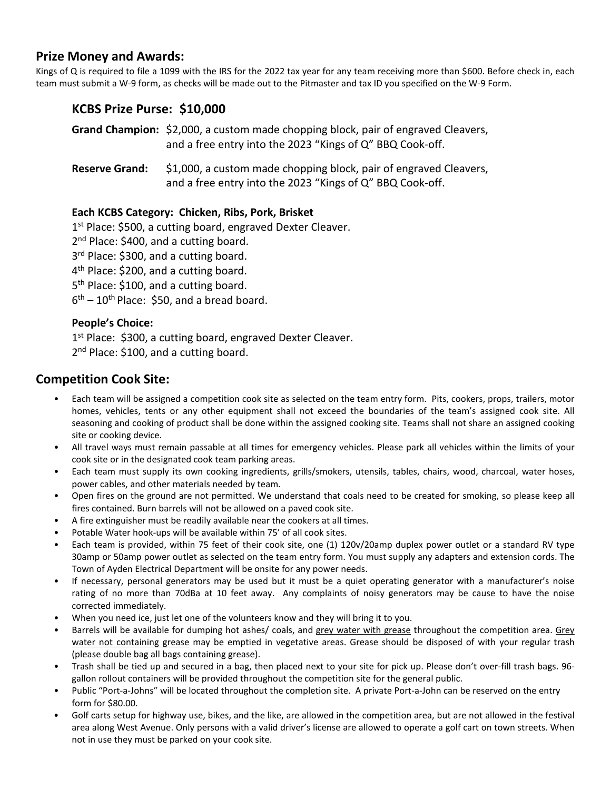## **Prize Money and Awards:**

Kings of Q is required to file a 1099 with the IRS for the 2022 tax year for any team receiving more than \$600. Before check in, each team must submit a W-9 form, as checks will be made out to the Pitmaster and tax ID you specified on the W-9 Form.

## **KCBS Prize Purse: \$10,000**

**Grand Champion:** \$2,000, a custom made chopping block, pair of engraved Cleavers, and a free entry into the 2023 "Kings of Q" BBQ Cook-off.

**Reserve Grand:** \$1,000, a custom made chopping block, pair of engraved Cleavers, and a free entry into the 2023 "Kings of Q" BBQ Cook-off.

#### **Each KCBS Category: Chicken, Ribs, Pork, Brisket**

1<sup>st</sup> Place: \$500, a cutting board, engraved Dexter Cleaver.

2<sup>nd</sup> Place: \$400, and a cutting board.

3<sup>rd</sup> Place: \$300, and a cutting board.

4<sup>th</sup> Place: \$200, and a cutting board.

5<sup>th</sup> Place: \$100, and a cutting board.

 $6<sup>th</sup> - 10<sup>th</sup>$  Place: \$50, and a bread board.

#### **People's Choice:**

1st Place: \$300, a cutting board, engraved Dexter Cleaver. 2<sup>nd</sup> Place: \$100, and a cutting board.

## **Competition Cook Site:**

- Each team will be assigned a competition cook site as selected on the team entry form. Pits, cookers, props, trailers, motor homes, vehicles, tents or any other equipment shall not exceed the boundaries of the team's assigned cook site. All seasoning and cooking of product shall be done within the assigned cooking site. Teams shall not share an assigned cooking site or cooking device.
- All travel ways must remain passable at all times for emergency vehicles. Please park all vehicles within the limits of your cook site or in the designated cook team parking areas.
- Each team must supply its own cooking ingredients, grills/smokers, utensils, tables, chairs, wood, charcoal, water hoses, power cables, and other materials needed by team.
- Open fires on the ground are not permitted. We understand that coals need to be created for smoking, so please keep all fires contained. Burn barrels will not be allowed on a paved cook site.
- A fire extinguisher must be readily available near the cookers at all times.
- Potable Water hook-ups will be available within 75' of all cook sites.
- Each team is provided, within 75 feet of their cook site, one (1) 120v/20amp duplex power outlet or a standard RV type 30amp or 50amp power outlet as selected on the team entry form. You must supply any adapters and extension cords. The Town of Ayden Electrical Department will be onsite for any power needs.
- If necessary, personal generators may be used but it must be a quiet operating generator with a manufacturer's noise rating of no more than 70dBa at 10 feet away. Any complaints of noisy generators may be cause to have the noise corrected immediately.
- When you need ice, just let one of the volunteers know and they will bring it to you.
- Barrels will be available for dumping hot ashes/ coals, and grey water with grease throughout the competition area. Grey water not containing grease may be emptied in vegetative areas. Grease should be disposed of with your regular trash (please double bag all bags containing grease).
- Trash shall be tied up and secured in a bag, then placed next to your site for pick up. Please don't over-fill trash bags. 96 gallon rollout containers will be provided throughout the competition site for the general public.
- Public "Port-a-Johns" will be located throughout the completion site. A private Port-a-John can be reserved on the entry form for \$80.00.
- Golf carts setup for highway use, bikes, and the like, are allowed in the competition area, but are not allowed in the festival area along West Avenue. Only persons with a valid driver's license are allowed to operate a golf cart on town streets. When not in use they must be parked on your cook site.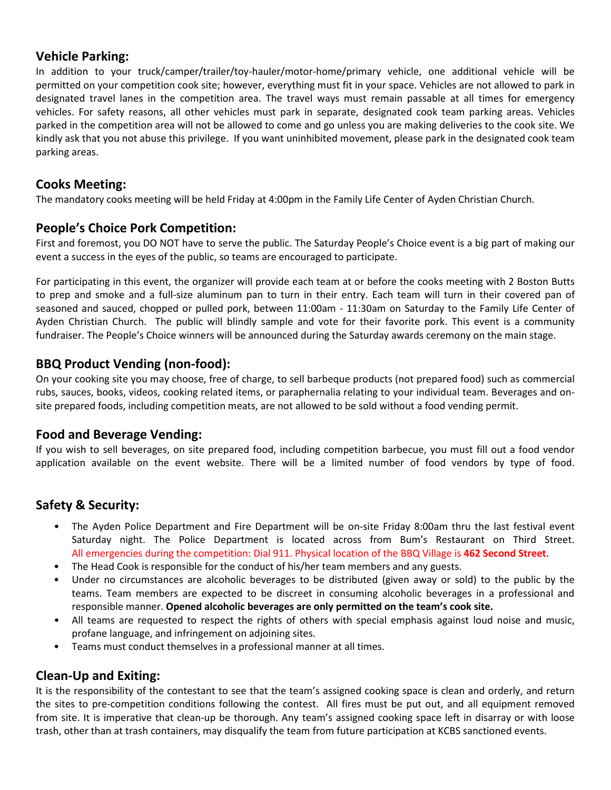## **Vehicle Parking:**

In addition to your truck/camper/trailer/toy-hauler/motor-home/primary vehicle, one additional vehicle will be permitted on your competition cook site; however, everything must fit in your space. Vehicles are not allowed to park in designated travel lanes in the competition area. The travel ways must remain passable at all times for emergency vehicles. For safety reasons, all other vehicles must park in separate, designated cook team parking areas. Vehicles parked in the competition area will not be allowed to come and go unless you are making deliveries to the cook site. We kindly ask that you not abuse this privilege. If you want uninhibited movement, please park in the designated cook team parking areas.

## **Cooks Meeting:**

The mandatory cooks meeting will be held Friday at 4:00pm in the Family Life Center of Ayden Christian Church.

## **People's Choice Pork Competition:**

First and foremost, you DO NOT have to serve the public. The Saturday People's Choice event is a big part of making our event a success in the eyes of the public, so teams are encouraged to participate.

For participating in this event, the organizer will provide each team at or before the cooks meeting with 2 Boston Butts to prep and smoke and a full-size aluminum pan to turn in their entry. Each team will turn in their covered pan of seasoned and sauced, chopped or pulled pork, between 11:00am - 11:30am on Saturday to the Family Life Center of Ayden Christian Church. The public will blindly sample and vote for their favorite pork. This event is a community fundraiser. The People's Choice winners will be announced during the Saturday awards ceremony on the main stage.

# **BBQ Product Vending (non-food):**

On your cooking site you may choose, free of charge, to sell barbeque products (not prepared food) such as commercial rubs, sauces, books, videos, cooking related items, or paraphernalia relating to your individual team. Beverages and onsite prepared foods, including competition meats, are not allowed to be sold without a food vending permit.

## **Food and Beverage Vending:**

If you wish to sell beverages, on site prepared food, including competition barbecue, you must fill out a food vendor application available on the event website. There will be a limited number of food vendors by type of food.

# **Safety & Security:**

- The Ayden Police Department and Fire Department will be on-site Friday 8:00am thru the last festival event Saturday night. The Police Department is located across from Bum's Restaurant on Third Street. All emergencies during the competition: Dial 911. Physical location of the BBQ Village is **462 Second Street**.
- The Head Cook is responsible for the conduct of his/her team members and any guests.
- Under no circumstances are alcoholic beverages to be distributed (given away or sold) to the public by the teams. Team members are expected to be discreet in consuming alcoholic beverages in a professional and responsible manner. **Opened alcoholic beverages are only permitted on the team's cook site.**
- All teams are requested to respect the rights of others with special emphasis against loud noise and music, profane language, and infringement on adjoining sites.
- Teams must conduct themselves in a professional manner at all times.

## **Clean-Up and Exiting:**

It is the responsibility of the contestant to see that the team's assigned cooking space is clean and orderly, and return the sites to pre-competition conditions following the contest. All fires must be put out, and all equipment removed from site. It is imperative that clean-up be thorough. Any team's assigned cooking space left in disarray or with loose trash, other than at trash containers, may disqualify the team from future participation at KCBS sanctioned events.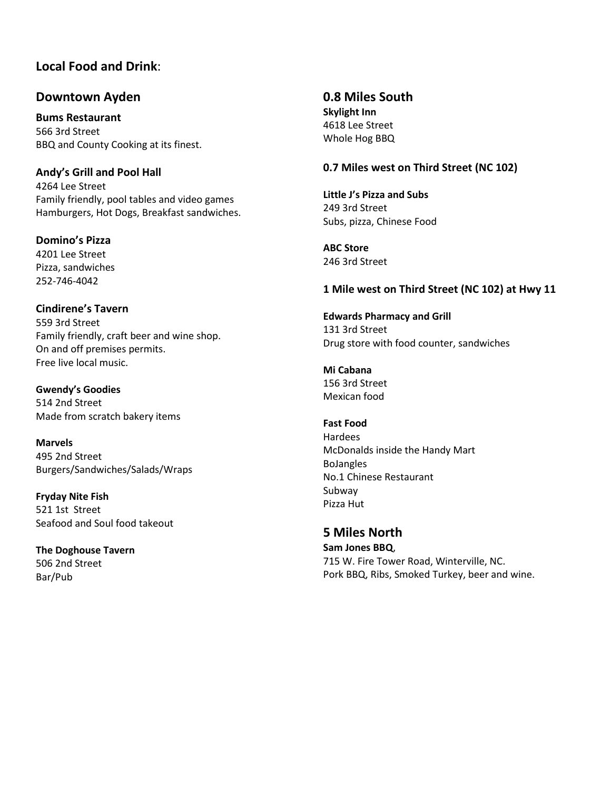# **Local Food and Drink**:

## **Downtown Ayden**

**Bums Restaurant** 566 3rd Street BBQ and County Cooking at its finest.

### **Andy's Grill and Pool Hall**

4264 Lee Street Family friendly, pool tables and video games Hamburgers, Hot Dogs, Breakfast sandwiches.

**Domino's Pizza**

4201 Lee Street Pizza, sandwiches 252-746-4042

#### **Cindirene's Tavern**

559 3rd Street Family friendly, craft beer and wine shop. On and off premises permits. Free live local music.

**Gwendy's Goodies** 514 2nd Street Made from scratch bakery items

**Marvels** 495 2nd Street Burgers/Sandwiches/Salads/Wraps

**Fryday Nite Fish** 521 1st Street Seafood and Soul food takeout

**The Doghouse Tavern** 506 2nd Street Bar/Pub

**0.8 Miles South Skylight Inn** 4618 Lee Street Whole Hog BBQ

## **0.7 Miles west on Third Street (NC 102)**

**Little J's Pizza and Subs** 249 3rd Street Subs, pizza, Chinese Food

**ABC Store** 246 3rd Street

#### **1 Mile west on Third Street (NC 102) at Hwy 11**

**Edwards Pharmacy and Grill** 131 3rd Street Drug store with food counter, sandwiches

**Mi Cabana** 156 3rd Street Mexican food

#### **Fast Food**

Hardees McDonalds inside the Handy Mart BoJangles No.1 Chinese Restaurant Subway Pizza Hut

**5 Miles North Sam Jones BBQ**, 715 W. Fire Tower Road, Winterville, NC. Pork BBQ, Ribs, Smoked Turkey, beer and wine.